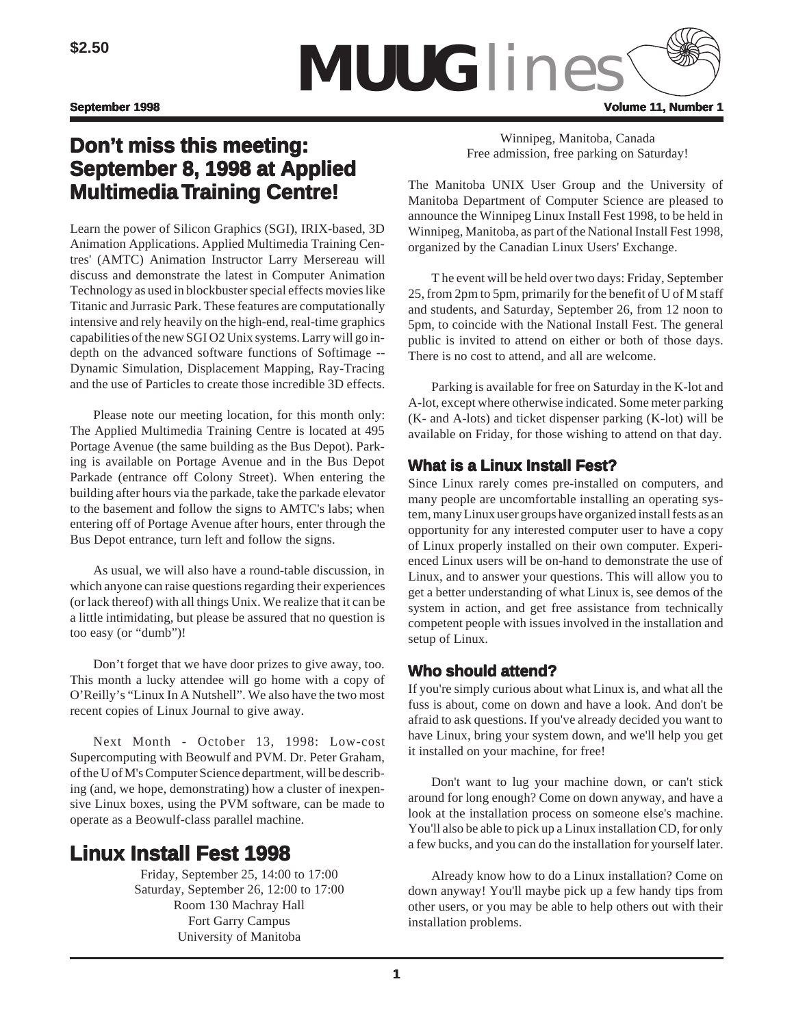

# **Don't miss this meeting: miss this September 8, 1998 at Applied Multimedia Training Centre! raining Centre!**

Learn the power of Silicon Graphics (SGI), IRIX-based, 3D Animation Applications. Applied Multimedia Training Centres' (AMTC) Animation Instructor Larry Mersereau will discuss and demonstrate the latest in Computer Animation Technology as used in blockbuster special effects movies like Titanic and Jurrasic Park. These features are computationally intensive and rely heavily on the high-end, real-time graphics capabilities of the new SGI O2 Unix systems. Larry will go indepth on the advanced software functions of Softimage -- Dynamic Simulation, Displacement Mapping, Ray-Tracing and the use of Particles to create those incredible 3D effects.

Please note our meeting location, for this month only: The Applied Multimedia Training Centre is located at 495 Portage Avenue (the same building as the Bus Depot). Parking is available on Portage Avenue and in the Bus Depot Parkade (entrance off Colony Street). When entering the building after hours via the parkade, take the parkade elevator to the basement and follow the signs to AMTC's labs; when entering off of Portage Avenue after hours, enter through the Bus Depot entrance, turn left and follow the signs.

As usual, we will also have a round-table discussion, in which anyone can raise questions regarding their experiences (or lack thereof) with all things Unix. We realize that it can be a little intimidating, but please be assured that no question is too easy (or "dumb")!

Don't forget that we have door prizes to give away, too. This month a lucky attendee will go home with a copy of O'Reilly's "Linux In A Nutshell". We also have the two most recent copies of Linux Journal to give away.

Next Month - October 13, 1998: Low-cost Supercomputing with Beowulf and PVM. Dr. Peter Graham, of the U of M's Computer Science department, will be describing (and, we hope, demonstrating) how a cluster of inexpensive Linux boxes, using the PVM software, can be made to operate as a Beowulf-class parallel machine.

# **Linux Install Fest 1998**

Friday, September 25, 14:00 to 17:00 Saturday, September 26, 12:00 to 17:00 Room 130 Machray Hall Fort Garry Campus University of Manitoba

Winnipeg, Manitoba, Canada Free admission, free parking on Saturday!

The Manitoba UNIX User Group and the University of Manitoba Department of Computer Science are pleased to announce the Winnipeg Linux Install Fest 1998, to be held in Winnipeg, Manitoba, as part of the National Install Fest 1998, organized by the Canadian Linux Users' Exchange.

T he event will be held over two days: Friday, September 25, from 2pm to 5pm, primarily for the benefit of U of M staff and students, and Saturday, September 26, from 12 noon to 5pm, to coincide with the National Install Fest. The general public is invited to attend on either or both of those days. There is no cost to attend, and all are welcome.

Parking is available for free on Saturday in the K-lot and A-lot, except where otherwise indicated. Some meter parking (K- and A-lots) and ticket dispenser parking (K-lot) will be available on Friday, for those wishing to attend on that day.

# **What is a Linux Install Fest?**

Since Linux rarely comes pre-installed on computers, and many people are uncomfortable installing an operating system, many Linux user groups have organized install fests as an opportunity for any interested computer user to have a copy of Linux properly installed on their own computer. Experienced Linux users will be on-hand to demonstrate the use of Linux, and to answer your questions. This will allow you to get a better understanding of what Linux is, see demos of the system in action, and get free assistance from technically competent people with issues involved in the installation and setup of Linux.

# **Who should attend?**

If you're simply curious about what Linux is, and what all the fuss is about, come on down and have a look. And don't be afraid to ask questions. If you've already decided you want to have Linux, bring your system down, and we'll help you get it installed on your machine, for free!

Don't want to lug your machine down, or can't stick around for long enough? Come on down anyway, and have a look at the installation process on someone else's machine. You'll also be able to pick up a Linux installation CD, for only a few bucks, and you can do the installation for yourself later.

Already know how to do a Linux installation? Come on down anyway! You'll maybe pick up a few handy tips from other users, or you may be able to help others out with their installation problems.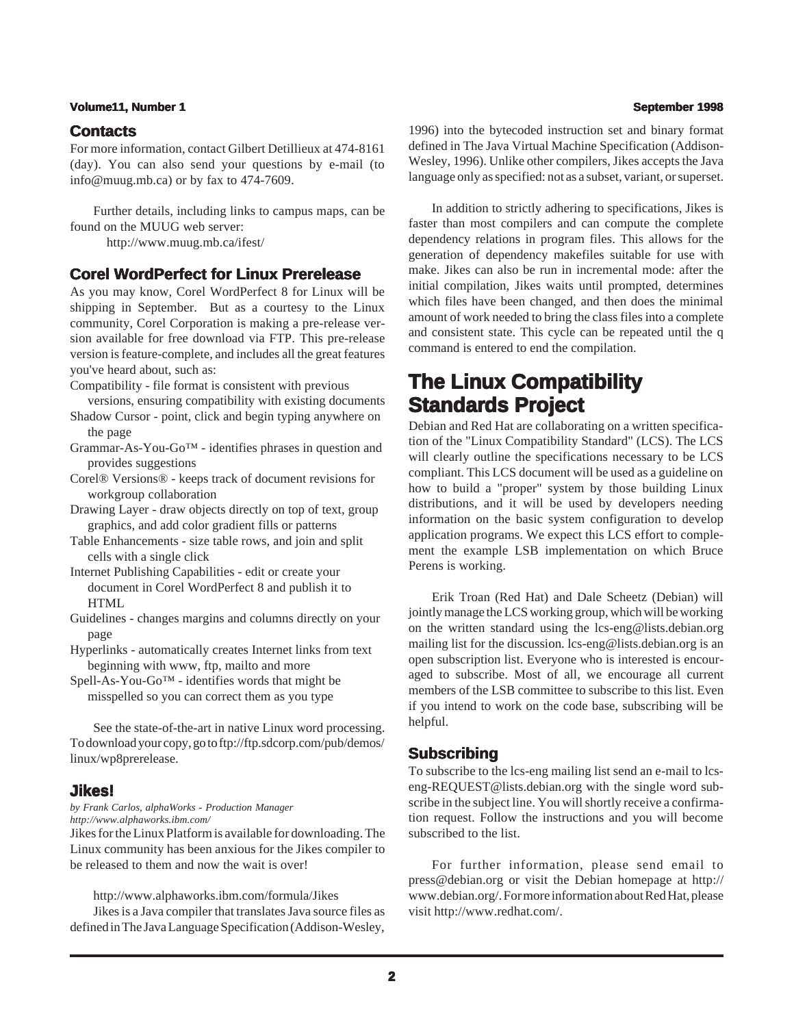# **Volume11, Number 1 September 1998**

# **Contacts**

For more information, contact Gilbert Detillieux at 474-8161 (day). You can also send your questions by e-mail (to info@muug.mb.ca) or by fax to 474-7609.

Further details, including links to campus maps, can be found on the MUUG web server:

http://www.muug.mb.ca/ifest/

# **Corel WordPerfect for Linux Prerelease**

As you may know, Corel WordPerfect 8 for Linux will be shipping in September. But as a courtesy to the Linux community, Corel Corporation is making a pre-release version available for free download via FTP. This pre-release version is feature-complete, and includes all the great features you've heard about, such as:

Compatibility - file format is consistent with previous

- versions, ensuring compatibility with existing documents Shadow Cursor - point, click and begin typing anywhere on the page
- Grammar-As-You-Go™ identifies phrases in question and provides suggestions
- Corel® Versions® keeps track of document revisions for workgroup collaboration
- Drawing Layer draw objects directly on top of text, group graphics, and add color gradient fills or patterns
- Table Enhancements size table rows, and join and split cells with a single click
- Internet Publishing Capabilities edit or create your document in Corel WordPerfect 8 and publish it to HTML
- Guidelines changes margins and columns directly on your page
- Hyperlinks automatically creates Internet links from text beginning with www, ftp, mailto and more
- Spell-As-You-Go™ identifies words that might be misspelled so you can correct them as you type

See the state-of-the-art in native Linux word processing. To download your copy, go to ftp://ftp.sdcorp.com/pub/demos/ linux/wp8prerelease.

# **Jikes!**

### *by Frank Carlos, alphaWorks - Production Manager http://www.alphaworks.ibm.com/*

Jikes for the Linux Platform is available for downloading. The Linux community has been anxious for the Jikes compiler to be released to them and now the wait is over!

http://www.alphaworks.ibm.com/formula/Jikes

Jikes is a Java compiler that translates Java source files as defined in The Java Language Specification (Addison-Wesley,

1996) into the bytecoded instruction set and binary format defined in The Java Virtual Machine Specification (Addison-Wesley, 1996). Unlike other compilers, Jikes accepts the Java language only as specified: not as a subset, variant, or superset.

In addition to strictly adhering to specifications, Jikes is faster than most compilers and can compute the complete dependency relations in program files. This allows for the generation of dependency makefiles suitable for use with make. Jikes can also be run in incremental mode: after the initial compilation, Jikes waits until prompted, determines which files have been changed, and then does the minimal amount of work needed to bring the class files into a complete and consistent state. This cycle can be repeated until the q command is entered to end the compilation.

# **The Linux Compatibility Standards Project**

Debian and Red Hat are collaborating on a written specification of the "Linux Compatibility Standard" (LCS). The LCS will clearly outline the specifications necessary to be LCS compliant. This LCS document will be used as a guideline on how to build a "proper" system by those building Linux distributions, and it will be used by developers needing information on the basic system configuration to develop application programs. We expect this LCS effort to complement the example LSB implementation on which Bruce Perens is working.

Erik Troan (Red Hat) and Dale Scheetz (Debian) will jointly manage the LCS working group, which will be working on the written standard using the lcs-eng@lists.debian.org mailing list for the discussion. lcs-eng@lists.debian.org is an open subscription list. Everyone who is interested is encouraged to subscribe. Most of all, we encourage all current members of the LSB committee to subscribe to this list. Even if you intend to work on the code base, subscribing will be helpful.

# **Subscribing**

To subscribe to the lcs-eng mailing list send an e-mail to lcseng-REQUEST@lists.debian.org with the single word subscribe in the subject line. You will shortly receive a confirmation request. Follow the instructions and you will become subscribed to the list.

For further information, please send email to press@debian.org or visit the Debian homepage at http:// www.debian.org/. For more information about Red Hat, please visit http://www.redhat.com/.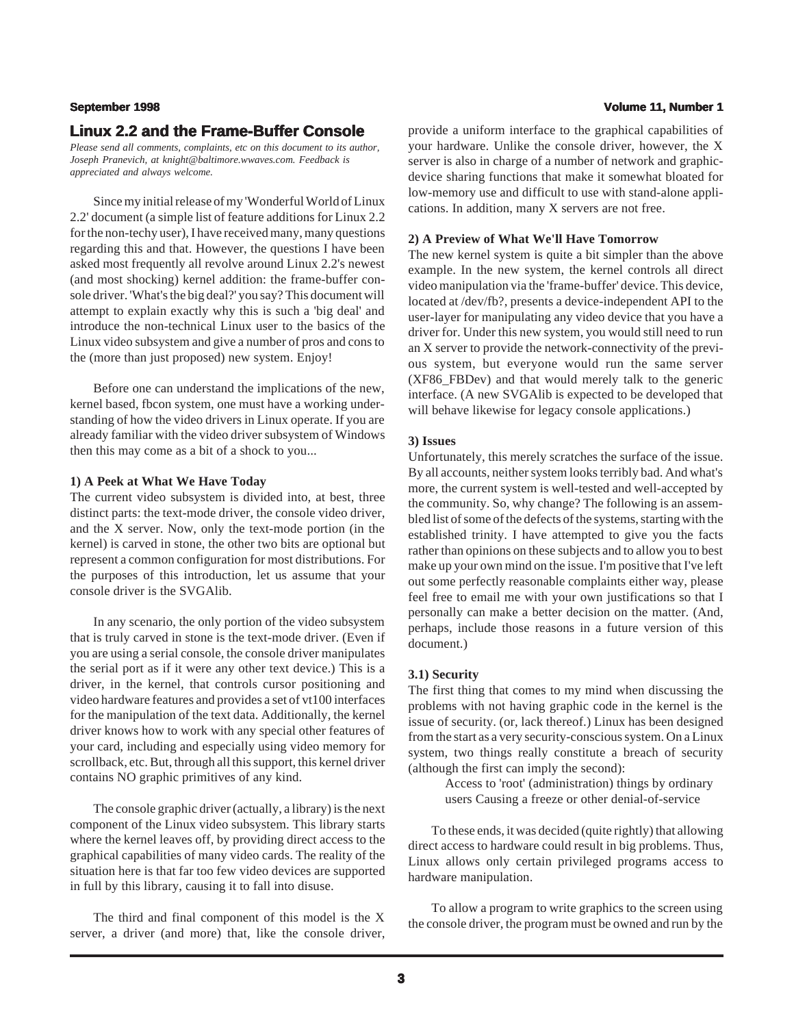# **Linux 2.2 and the Frame-Buffer Console**

*Please send all comments, complaints, etc on this document to its author, Joseph Pranevich, at knight@baltimore.wwaves.com. Feedback is appreciated and always welcome.*

Since my initial release of my 'Wonderful World of Linux 2.2' document (a simple list of feature additions for Linux 2.2 for the non-techy user), I have received many, many questions regarding this and that. However, the questions I have been asked most frequently all revolve around Linux 2.2's newest (and most shocking) kernel addition: the frame-buffer console driver. 'What's the big deal?' you say? This document will attempt to explain exactly why this is such a 'big deal' and introduce the non-technical Linux user to the basics of the Linux video subsystem and give a number of pros and cons to the (more than just proposed) new system. Enjoy!

Before one can understand the implications of the new, kernel based, fbcon system, one must have a working understanding of how the video drivers in Linux operate. If you are already familiar with the video driver subsystem of Windows then this may come as a bit of a shock to you...

### **1) A Peek at What We Have Today**

The current video subsystem is divided into, at best, three distinct parts: the text-mode driver, the console video driver, and the X server. Now, only the text-mode portion (in the kernel) is carved in stone, the other two bits are optional but represent a common configuration for most distributions. For the purposes of this introduction, let us assume that your console driver is the SVGAlib.

In any scenario, the only portion of the video subsystem that is truly carved in stone is the text-mode driver. (Even if you are using a serial console, the console driver manipulates the serial port as if it were any other text device.) This is a driver, in the kernel, that controls cursor positioning and video hardware features and provides a set of vt100 interfaces for the manipulation of the text data. Additionally, the kernel driver knows how to work with any special other features of your card, including and especially using video memory for scrollback, etc. But, through all this support, this kernel driver contains NO graphic primitives of any kind.

The console graphic driver (actually, a library) is the next component of the Linux video subsystem. This library starts where the kernel leaves off, by providing direct access to the graphical capabilities of many video cards. The reality of the situation here is that far too few video devices are supported in full by this library, causing it to fall into disuse.

The third and final component of this model is the X server, a driver (and more) that, like the console driver,

## **September 1998 Volume 11, Number 1**

provide a uniform interface to the graphical capabilities of your hardware. Unlike the console driver, however, the X server is also in charge of a number of network and graphicdevice sharing functions that make it somewhat bloated for low-memory use and difficult to use with stand-alone applications. In addition, many X servers are not free.

### **2) A Preview of What We'll Have Tomorrow**

The new kernel system is quite a bit simpler than the above example. In the new system, the kernel controls all direct video manipulation via the 'frame-buffer' device. This device, located at /dev/fb?, presents a device-independent API to the user-layer for manipulating any video device that you have a driver for. Under this new system, you would still need to run an X server to provide the network-connectivity of the previous system, but everyone would run the same server (XF86\_FBDev) and that would merely talk to the generic interface. (A new SVGAlib is expected to be developed that will behave likewise for legacy console applications.)

### **3) Issues**

Unfortunately, this merely scratches the surface of the issue. By all accounts, neither system looks terribly bad. And what's more, the current system is well-tested and well-accepted by the community. So, why change? The following is an assembled list of some of the defects of the systems, starting with the established trinity. I have attempted to give you the facts rather than opinions on these subjects and to allow you to best make up your own mind on the issue. I'm positive that I've left out some perfectly reasonable complaints either way, please feel free to email me with your own justifications so that I personally can make a better decision on the matter. (And, perhaps, include those reasons in a future version of this document.)

### **3.1) Security**

The first thing that comes to my mind when discussing the problems with not having graphic code in the kernel is the issue of security. (or, lack thereof.) Linux has been designed from the start as a very security-conscious system. On a Linux system, two things really constitute a breach of security (although the first can imply the second):

> Access to 'root' (administration) things by ordinary users Causing a freeze or other denial-of-service

To these ends, it was decided (quite rightly) that allowing direct access to hardware could result in big problems. Thus, Linux allows only certain privileged programs access to hardware manipulation.

To allow a program to write graphics to the screen using the console driver, the program must be owned and run by the